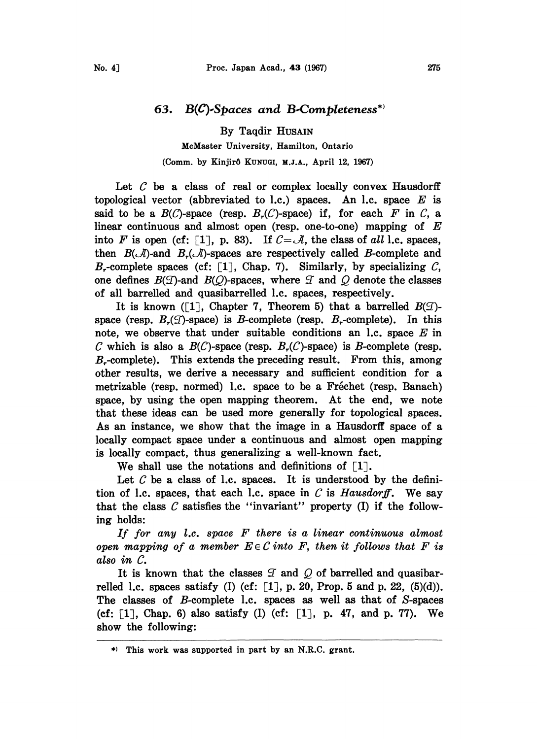## 63.  $B(C)$ -Spaces and B-Completeness<sup>\*</sup>

By Taqdir HUSAIN MeMaster University, Hamilton, Ontario (Comm. by Kinjirô KUNUGI, M.J.A., April 12, 1967)

Let  $C$  be a class of real or complex locally convex Hausdorff topological vector (abbreviated to l.c.) spaces. An l.c. space  $E$  is said to be a  $B(C)$ -space (resp.  $B_r(C)$ -space) if, for each F in C, a linear continuous and almost open (resp. one-to-one) mapping of  $E$ into F is open (cf: [1], p. 83). If  $C = \mathcal{A}$ , the class of all l.c. spaces, then  $B(\mathcal{A})$ -and  $B_r(\mathcal{A})$ -spaces are respectively called B-complete and B,-complete spaces (cf:  $[1]$ , Chap. 7). Similarly, by specializing C, one defines  $B(\mathcal{F})$ -and  $B(\mathcal{Q})$ -spaces, where  $\mathcal T$  and  $\mathcal Q$  denote the classes of all barrelled and quasibarrelled 1.c. spaces, respectively.

It is known ([1], Chapter 7, Theorem 5) that a barrelled  $B(\mathcal{D})$ space (resp.  $B_r(\mathcal{I})$ -space) is B-complete (resp.  $B_r$ -complete). In this note, we observe that under suitable conditions an  $l.c.$  space  $E$  in C which is also a  $B(C)$ -space (resp.  $B_r(C)$ -space) is B-complete (resp.  $B<sub>r</sub>$ -complete). This extends the preceding result. From this, among other results, we derive a necessary and sufficient condition for a metrizable (resp. normed) 1.c. space to be a Fréchet (resp. Banach) space, by using the open mapping theorem. At the end, we note that these ideas can be used more generally for topological spaces. As an instance, we show that the image in a Hausdorff space of a locally compact space under a continuous and almost open mapping is locally compact, thus generalizing a well-known fact.

We shall use the notations and definitions of  $\lceil 1 \rceil$ .

Let  $C$  be a class of 1.c. spaces. It is understood by the definition of 1.c. spaces, that each 1.c. space in  $C$  is *Hausdorff*. We say that the class  $\mathcal C$  satisfies the "invariant" property (I) if the following holds:

If for any l.c. space F there is <sup>a</sup> linear continuous almost open mapping of a member  $E \in \mathcal{C}$  into F, then it follows that F is also in C.

It is known that the classes  $\mathcal I$  and  $\mathcal Q$  of barrelled and quasibarrelled 1.c. spaces satisfy (I) (cf:  $[1]$ , p. 20, Prop. 5 and p. 22,  $(5)(d)$ ). The classes of B-complete 1.c. spaces as well as that of S-spaces (cf:  $\lceil 1 \rceil$ , Chap. 6) also satisfy (I) (cf:  $\lceil 1 \rceil$ , p. 47, and p. 77). We show the following:

<sup>\*)</sup> This work was supported in part by an N.R.C. grant.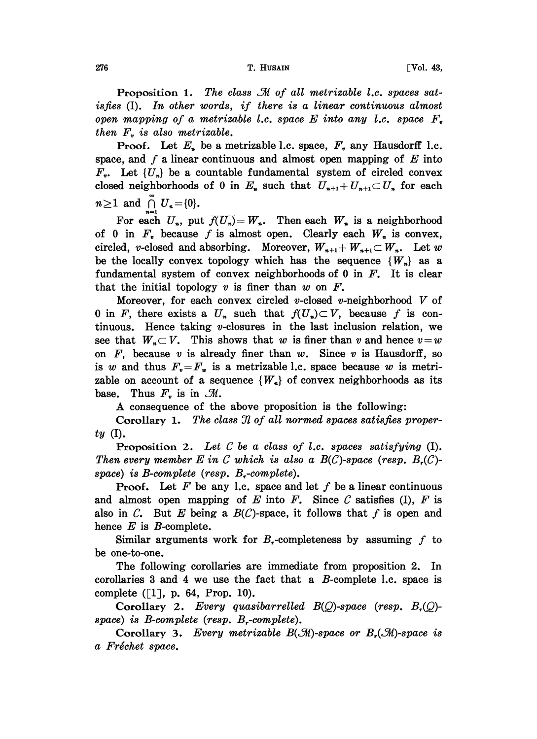Proposition 1. The class  $\mathcal M$  of all metrizable l.c. spaces satisfies  $(I)$ . In other words, if there is a linear continuous almost open mapping of a metrizable *l.c.* space  $E$  into any *l.c.* space  $F<sub>v</sub>$ then  $F<sub>v</sub>$  is also metrizable.

**Proof.** Let  $E_u$  be a metrizable l.c. space,  $F_u$  any Hausdorff l.c. space, and f a linear continuous and almost open mapping of  $E$  into  $F_{\nu}$ . Let  $\{U_{\nu}\}\$ be a countable fundamental system of circled convex closed neighborhoods of 0 in  $E_u$  such that  $U_{u+1} + U_{u+1} \subset U_u$  for each  $n\geq 1$  and  $\bigcap_{n=0}^{\infty}$   $U_n=\{0\}.$ 

For each  $U_n$ , put  $\overline{f(U_n)}=W_n$ . Then each  $W_n$  is a neighborhood of 0 in  $F<sub>*</sub>$  because f is almost open. Clearly each  $W<sub>*</sub>$  is convex, circled, v-closed and absorbing. Moreover,  $W_{n+1} + W_{n+1} \subset W_n$ . Let w be the locally convex topology which has the sequence  $\{W_n\}$  as a fundamental system of convex neighborhoods of  $0$  in  $F$ . It is clear that the initial topology v is finer than w on  $F$ .

Moreover, for each convex circled v-closed v-neighborhood  $V$  of 0 in F, there exists a  $U_n$  such that  $f(U_n) \subset V$ , because f is continuous. Hence taking *v*-closures in the last inclusion relation, we see that  $W_{\alpha} \subset V$ . This shows that w is finer than v and hence  $v = w$ on  $F$ , because  $v$  is already finer than  $w$ . Since  $v$  is Hausdorff, so is w and thus  $F_v = F_w$  is a metrizable l.c. space because w is metrizable on account of a sequence  $\{W_n\}$  of convex neighborhoods as its base. Thus  $F<sub>v</sub>$  is in  $\mathcal{M}$ .

A consequence of the above proposition is the following:

Corollary 1. The class  $\mathcal I$  of all normed spaces satisfies proper $ty($ .

**Proposition 2.** Let  $C$  be a class of *l.c.* spaces satisfying  $(I)$ . Then every member E in C which is also a  $B(C)$ -space (resp.  $B_r(C)$ space) is B-complete (resp. B,-complete).

**Proof.** Let F be any 1.c. space and let f be a linear continuous and almost open mapping of  $E$  into  $F$ . Since  $C$  satisfies (I),  $F$  is also in C. But E being a  $B(\mathcal{C})$ -space, it follows that f is open and hence  $E$  is  $B$ -complete.

Similar arguments work for  $B<sub>r</sub>$ -completeness by assuming f to be one-to-one.

The following corollaries are immediate from proposition 2. In corollaries 3 and 4 we use the fact that a  $B$ -complete 1.c. space is complete  $([1], p. 64, Prop. 10)$ .

Corollary 2. Every quasibarrelled  $B(Q)$ -space (resp.  $B_r(Q)$ space) is  $B$ -complete (resp.  $B$ -complete).

Corollary 3. Every metrizable  $B(\mathcal{M})$ -space or  $B_r(\mathcal{M})$ -space is a Fréchet space.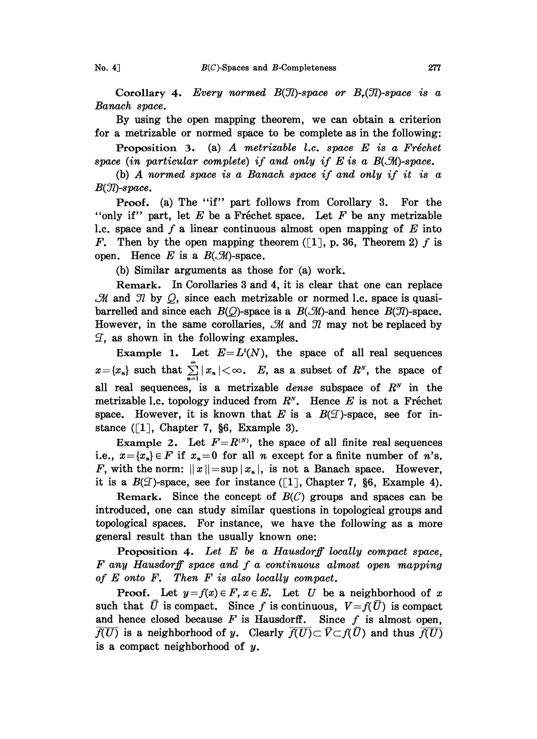Corollary 4. Every normed  $B(\mathcal{I})$ -space or  $B_r(\mathcal{I})$ -space is a Banach space.

By using the open mapping theorem, we can obtain a criterion for a metrizable or normed space to be complete as in the following:

Proposition 3. (a) A metrizable *l.c.* space  $E$  is a Fréchet space (in particular complete) if and only if  $E$  is a  $B(\mathcal{M})$ -space.

(b) A normed space is <sup>a</sup> Banach space if and only if it is <sup>a</sup>  $B(\mathfrak{N})$ -space.

Proof. (a) The "if" part follows from Corollary 3. For the "only if" part, let E be a Fréchet space. Let F be any metrizable 1.c. space and f a linear continuous almost open mapping of  $E$  into F. Then by the open mapping theorem ([1], p. 36, Theorem 2) f is open. Hence E is a  $B(\mathcal{M})$ -space.

(b) Similar arguments as those for (a) work.

Remark. In Corollaries 3 and 4, it is clear that one can replace  $M$  and  $N$  by  $Q$ , since each metrizable or normed l.c. space is quasibarrelled and since each  $B(Q)$ -space is a  $B(\mathcal{M})$ -and hence  $B(\mathcal{I})$ -space. However, in the same corollaries,  $\mathcal M$  and  $\mathcal I$  may not be replaced by  $\mathcal{I}$ , as shown in the following examples.

Example 1. Let  $E = L^{1}(N)$ , the space of all real sequences  $x = \{x_n\}$  such that  $\sum_{n=1}^{\infty} |x_n| < \infty$ . E, as a subset of  $R^N$ , the space of all real sequences, is a metrizable *dense* subspace of  $R<sup>N</sup>$  in the metrizable 1.c. topology induced from  $R^N$ . Hence E is not a Fréchet space. However, it is known that E is a  $B(\mathcal{I})$ -space, see for instance  $(1, \text{Chapter 7}, \S6, \text{Example 3}).$ 

Example 2. Let  $F=R^{(N)}$ , the space of all finite real sequences i.e.,  $x = \{x_n\} \in F$  if  $x_n = 0$  for all n except for a finite number of n's. F, with the norm:  $||x|| = \sup |x_n|$ , is not a Banach space. However, it is a  $B(\mathcal{I})$ -space, see for instance ([1], Chapter 7, §6, Example 4).

Remark. Since the concept of  $B(C)$  groups and spaces can be introduced, one can study similar questions in topological groups and topological spaces. For instance, we have the following as a more general result than the usually known one:

Proposition 4. Let  $E$  be a Hausdorff locally compact space, F any Hausdorff space and f <sup>a</sup> continuous almost open mapping of  $E$  onto  $F$ . Then  $F$  is also locally compact.

**Proof.** Let  $y = f(x) \in F$ ,  $x \in E$ . Let U be a neighborhood of x such that U is compact. Since f is continuous,  $V=f(\bar{U})$  is compact and hence closed because  $F$  is Hausdorff. Since  $f$  is almost open,  $\overline{f(U)}$  is a neighborhood of y. Clearly  $\overline{f(U)} \subset \overline{V} \subset f(\overline{U})$  and thus  $\overline{f(U)}$ is a compact neighborhood of  $y$ .